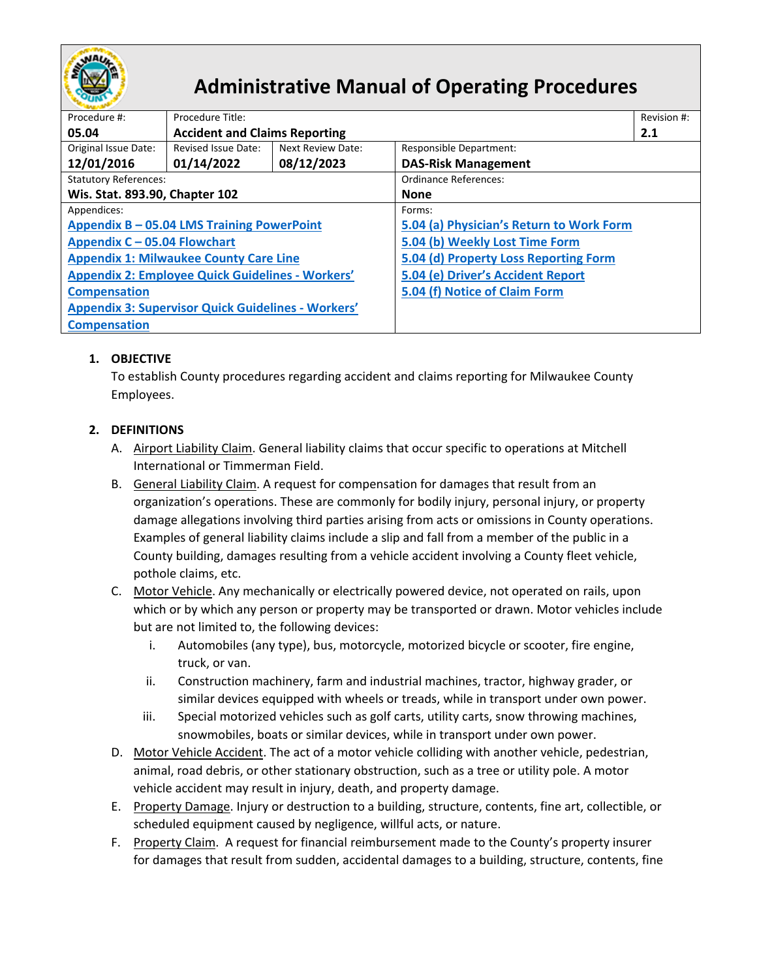

# **Administrative Manual of Operating Procedures**

| Procedure #:                                              | Procedure Title:                     |                   |                                          |     |  |
|-----------------------------------------------------------|--------------------------------------|-------------------|------------------------------------------|-----|--|
| 05.04                                                     | <b>Accident and Claims Reporting</b> |                   |                                          | 2.1 |  |
| Original Issue Date:                                      | Revised Issue Date:                  | Next Review Date: | <b>Responsible Department:</b>           |     |  |
| 12/01/2016                                                | 01/14/2022                           | 08/12/2023        | <b>DAS-Risk Management</b>               |     |  |
| <b>Statutory References:</b>                              |                                      |                   | Ordinance References:                    |     |  |
| Wis. Stat. 893.90, Chapter 102                            |                                      |                   | <b>None</b>                              |     |  |
| Appendices:                                               |                                      |                   | Forms:                                   |     |  |
| Appendix B - 05.04 LMS Training PowerPoint                |                                      |                   | 5.04 (a) Physician's Return to Work Form |     |  |
| Appendix C - 05.04 Flowchart                              |                                      |                   | 5.04 (b) Weekly Lost Time Form           |     |  |
| <b>Appendix 1: Milwaukee County Care Line</b>             |                                      |                   | 5.04 (d) Property Loss Reporting Form    |     |  |
| <b>Appendix 2: Employee Quick Guidelines - Workers'</b>   |                                      |                   | 5.04 (e) Driver's Accident Report        |     |  |
| <b>Compensation</b>                                       |                                      |                   | 5.04 (f) Notice of Claim Form            |     |  |
| <b>Appendix 3: Supervisor Quick Guidelines - Workers'</b> |                                      |                   |                                          |     |  |
| <b>Compensation</b>                                       |                                      |                   |                                          |     |  |

# **1. OBJECTIVE**

To establish County procedures regarding accident and claims reporting for Milwaukee County Employees.

# **2. DEFINITIONS**

- A. Airport Liability Claim. General liability claims that occur specific to operations at Mitchell International or Timmerman Field.
- B. General Liability Claim. A request for compensation for damages that result from an organization's operations. These are commonly for bodily injury, personal injury, or property damage allegations involving third parties arising from acts or omissions in County operations. Examples of general liability claims include a slip and fall from a member of the public in a County building, damages resulting from a vehicle accident involving a County fleet vehicle, pothole claims, etc.
- C. Motor Vehicle. Any mechanically or electrically powered device, not operated on rails, upon which or by which any person or property may be transported or drawn. Motor vehicles include but are not limited to, the following devices:
	- i. Automobiles (any type), bus, motorcycle, motorized bicycle or scooter, fire engine, truck, or van.
	- ii. Construction machinery, farm and industrial machines, tractor, highway grader, or similar devices equipped with wheels or treads, while in transport under own power.
	- iii. Special motorized vehicles such as golf carts, utility carts, snow throwing machines, snowmobiles, boats or similar devices, while in transport under own power.
- D. Motor Vehicle Accident. The act of a motor [vehicle](https://en.wikipedia.org/wiki/Vehicle) colliding with another vehicle, pedestrian, animal, [road debris,](https://en.wikipedia.org/wiki/Road_debris) or other stationary obstruction, such as a tree or [utility pole.](https://en.wikipedia.org/wiki/Utility_pole) A motor vehicle accident may result in injury, death, and property damage.
- E. Property Damage. Injury or destruction to a building, structure, contents, fine art, collectible, or scheduled equipment caused by negligence, willful acts, or nature.
- F. Property Claim. A request for financial reimbursement made to the County's property insurer for damages that result from sudden, accidental damages to a building, structure, contents, fine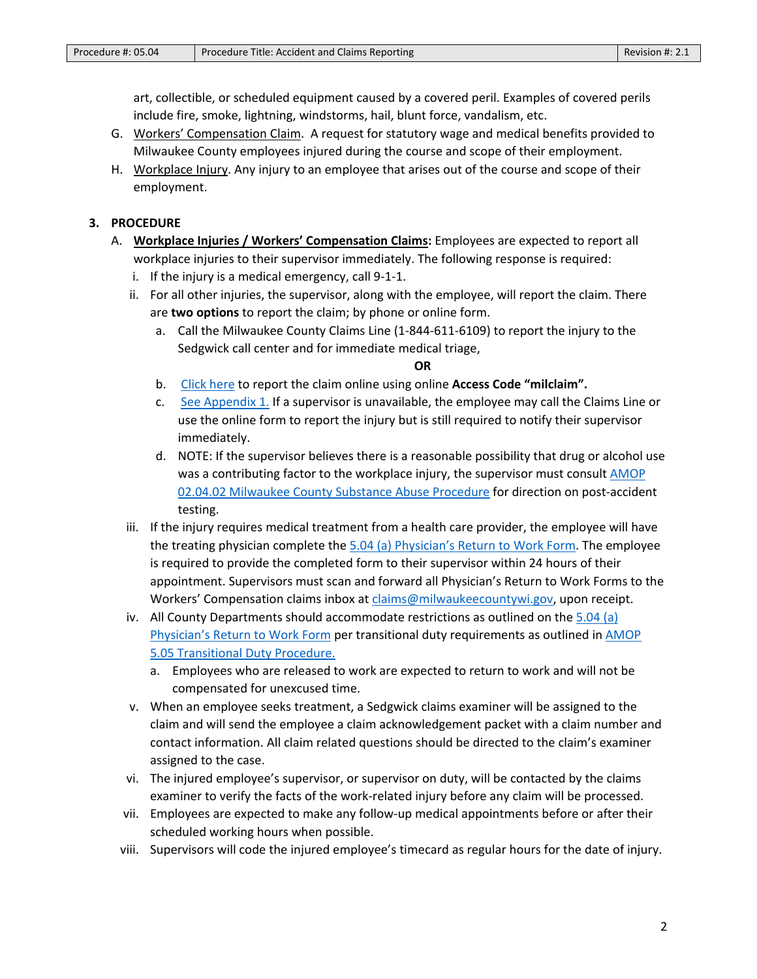art, collectible, or scheduled equipment caused by a covered peril. Examples of covered perils include fire, smoke, lightning, windstorms, hail, blunt force, vandalism, etc.

- G. Workers' Compensation Claim. A request for statutory wage and medical benefits provided to Milwaukee County employees injured during the course and scope of their employment.
- H. Workplace Injury. Any injury to an employee that arises out of the course and scope of their employment.

## **3. PROCEDURE**

- A. **Workplace Injuries / Workers' Compensation Claims:** Employees are expected to report all workplace injuries to their supervisor immediately. The following response is required:
	- i. If the injury is a medical emergency, call 9-1-1.
	- ii. For all other injuries, the supervisor, along with the employee, will report the claim. There are **two options** to report the claim; by phone or online form.
		- a. Call the Milwaukee County Claims Line (1-844-611-6109) to report the injury to the Sedgwick call center and for immediate medical triage,

### **OR**

- b. [Click here](https://gcc02.safelinks.protection.outlook.com/?url=https%3A%2F%2Fintake.sedgwick.com%2Fu%2FMilwaukeeclaimreport%2Fintake&data=04%7C01%7CLaKesha.Pettigrew%40milwaukeecountywi.gov%7C8d3311ee2a4145e1b9d708d9d7785711%7Cab0c01f619e54e299dab4d03f82b6495%7C0%7C0%7C637777734154690505%7CUnknown%7CTWFpbGZsb3d8eyJWIjoiMC4wLjAwMDAiLCJQIjoiV2luMzIiLCJBTiI6Ik1haWwiLCJXVCI6Mn0%3D%7C3000&sdata=YPXUtd6TNutZ2zdCYUUDK1oFwrQxuXNv0pBlpROmEdM%3D&reserved=0) to report the claim online using online **Access Code "milclaim".**
- c. [See Appendix 1.](https://county.milwaukee.gov/files/county/administrative-services/AMOP/Chapter-5-Risk-Management/Appendix1MilwaukeeCountyCareLine.pdf) If a supervisor is unavailable, the employee may call the Claims Line or use the online form to report the injury but is still required to notify their supervisor immediately.
- d. NOTE: If the supervisor believes there is a reasonable possibility that drug or alcohol use was a contributing factor to the workplace injury, the supervisor must consult AMOP [02.04.02 Milwaukee County Substance Abuse Procedure](https://county.milwaukee.gov/files/county/administrative-services/AMOP/Chapter-2-Human-Resources/02.04.02MilwaukeeCountySubstanceAbuseProcedureREVISED91920161.pdf) for direction on post-accident testing.
- iii. If the injury requires medical treatment from a health care provider, the employee will have the treating physician complete the [5.04 \(a\) Physician's Return to Work](https://county.milwaukee.gov/files/county/administrative-services/AMOP/Chapter-5-Risk-Management/5.04aPhysiciansRTWForm10.21.19.pdf) Form. The employee is required to provide the completed form to their supervisor within 24 hours of their appointment. Supervisors must scan and forward all Physician's Return to Work Forms to the Workers' Compensation claims inbox at [claims@milwaukeecountywi.gov,](mailto:claims@milwaukeecountywi.gov) upon receipt.
- iv. All County Departments should accommodate restrictions as outlined on the [5.04 \(a\)](https://county.milwaukee.gov/files/county/administrative-services/AMOP/Chapter-5-Risk-Management/5.04aPhysiciansRTWForm10.21.19.pdf)  [Physician's Return to Work Form](https://county.milwaukee.gov/files/county/administrative-services/AMOP/Chapter-5-Risk-Management/5.04aPhysiciansRTWForm10.21.19.pdf) per transitional duty requirements as outlined in [AMOP](https://county.milwaukee.gov/files/county/administrative-services/AMOP/Chapter-5-Risk-Management/5.05TransitionalDutyProceduresFinal.pdf)  [5.05 Transitional Duty](https://county.milwaukee.gov/files/county/administrative-services/AMOP/Chapter-5-Risk-Management/5.05TransitionalDutyProceduresFinal.pdf) Procedure.
	- a. Employees who are released to work are expected to return to work and will not be compensated for unexcused time.
- v. When an employee seeks treatment, a Sedgwick claims examiner will be assigned to the claim and will send the employee a claim acknowledgement packet with a claim number and contact information. All claim related questions should be directed to the claim's examiner assigned to the case.
- vi. The injured employee's supervisor, or supervisor on duty, will be contacted by the claims examiner to verify the facts of the work-related injury before any claim will be processed.
- vii. Employees are expected to make any follow-up medical appointments before or after their scheduled working hours when possible.
- viii. Supervisors will code the injured employee's timecard as regular hours for the date of injury.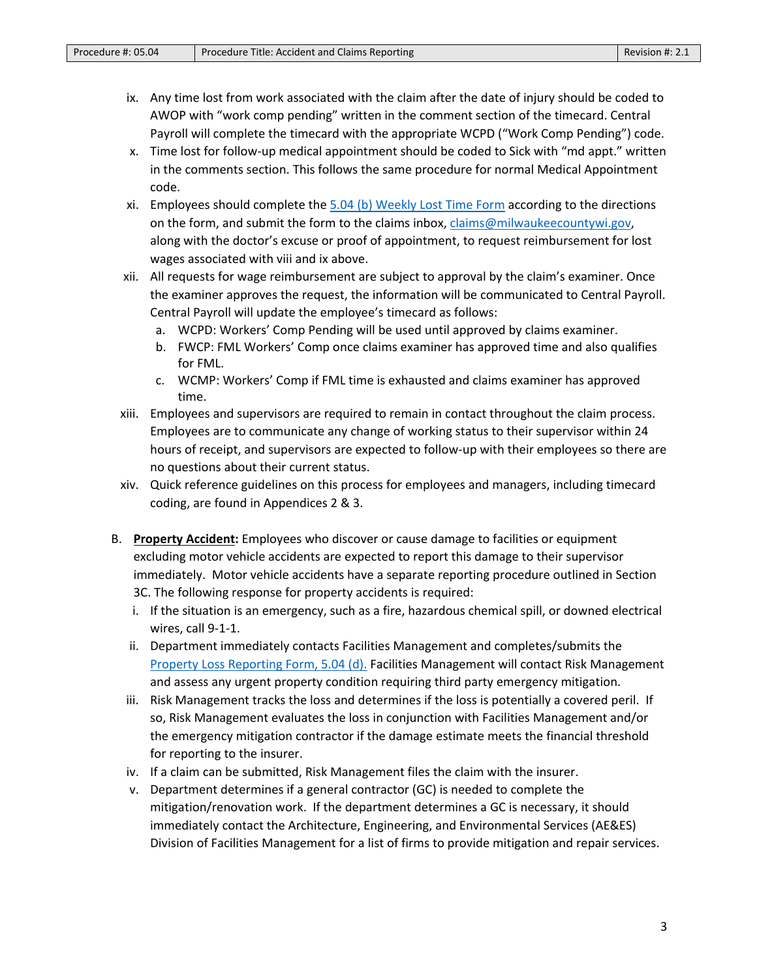- ix. Any time lost from work associated with the claim after the date of injury should be coded to AWOP with "work comp pending" written in the comment section of the timecard. Central Payroll will complete the timecard with the appropriate WCPD ("Work Comp Pending") code.
- x. Time lost for follow-up medical appointment should be coded to Sick with "md appt." written in the comments section. This follows the same procedure for normal Medical Appointment code.
- xi. Employees should complete the [5.04 \(b\) Weekly Lost Time Form](https://county.milwaukee.gov/files/county/administrative-services/AMOP/Chapter-5-Risk-Management/5.04cWeeklyLostTimeForm.pdf) according to the directions on the form, and submit the form to the claims inbox, [claims@milwaukeecountywi.gov,](mailto:claims@milwaukeecountywi.gov) along with the doctor's excuse or proof of appointment, to request reimbursement for lost wages associated with viii and ix above.
- xii. All requests for wage reimbursement are subject to approval by the claim's examiner. Once the examiner approves the request, the information will be communicated to Central Payroll. Central Payroll will update the employee's timecard as follows:
	- a. WCPD: Workers' Comp Pending will be used until approved by claims examiner.
	- b. FWCP: FML Workers' Comp once claims examiner has approved time and also qualifies for FML.
	- c. WCMP: Workers' Comp if FML time is exhausted and claims examiner has approved time.
- xiii. Employees and supervisors are required to remain in contact throughout the claim process. Employees are to communicate any change of working status to their supervisor within 24 hours of receipt, and supervisors are expected to follow-up with their employees so there are no questions about their current status.
- xiv. Quick reference guidelines on this process for employees and managers, including timecard coding, are found in Appendices 2 & 3.
- B. **Property Accident:** Employees who discover or cause damage to facilities or equipment excluding motor vehicle accidents are expected to report this damage to their supervisor immediately. Motor vehicle accidents have a separate reporting procedure outlined in Section 3C. The following response for property accidents is required:
	- i. If the situation is an emergency, such as a fire, hazardous chemical spill, or downed electrical wires, call 9-1-1.
	- ii. Department immediately contacts Facilities Management and completes/submits the [Property Loss Reporting Form, 5.04 \(d\).](https://county.milwaukee.gov/files/county/administrative-services/AMOP/Chapter-5-Risk-Management/5.04dPropertyLossReportingForm.pdf) Facilities Management will contact Risk Management and assess any urgent property condition requiring third party emergency mitigation.
	- iii. Risk Management tracks the loss and determines if the loss is potentially a covered peril. If so, Risk Management evaluates the loss in conjunction with Facilities Management and/or the emergency mitigation contractor if the damage estimate meets the financial threshold for reporting to the insurer.
	- iv. If a claim can be submitted, Risk Management files the claim with the insurer.
	- v. Department determines if a general contractor (GC) is needed to complete the mitigation/renovation work. If the department determines a GC is necessary, it should immediately contact the Architecture, Engineering, and Environmental Services (AE&ES) Division of Facilities Management for a list of firms to provide mitigation and repair services.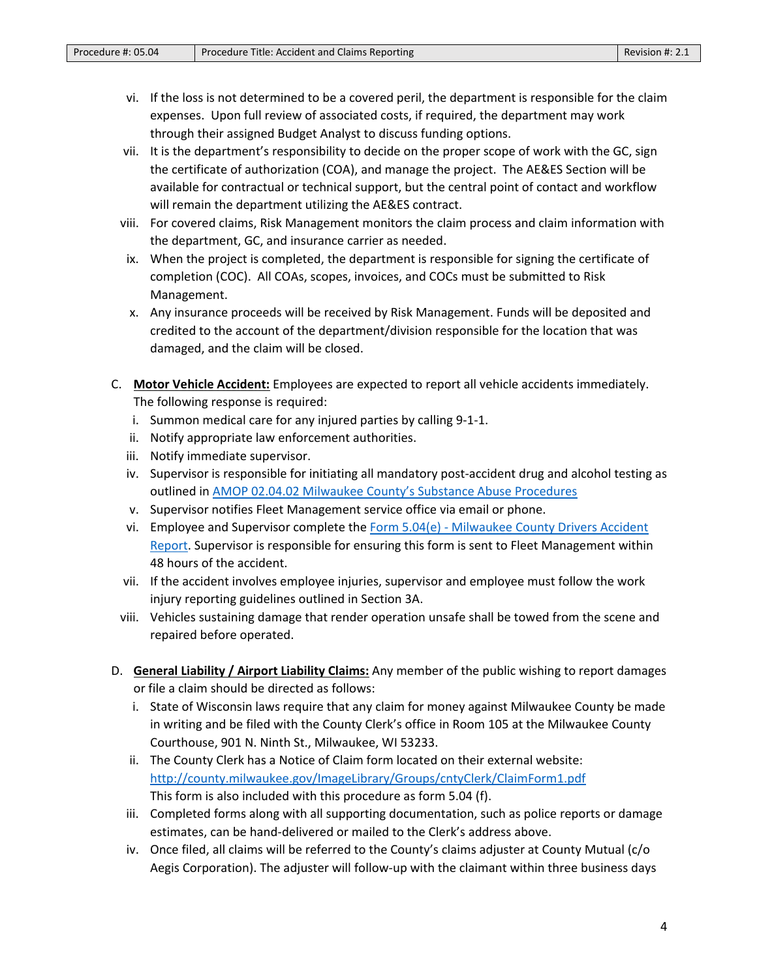- vi. If the loss is not determined to be a covered peril, the department is responsible for the claim expenses. Upon full review of associated costs, if required, the department may work through their assigned Budget Analyst to discuss funding options.
- vii. It is the department's responsibility to decide on the proper scope of work with the GC, sign the certificate of authorization (COA), and manage the project. The AE&ES Section will be available for contractual or technical support, but the central point of contact and workflow will remain the department utilizing the AE&ES contract.
- viii. For covered claims, Risk Management monitors the claim process and claim information with the department, GC, and insurance carrier as needed.
- ix. When the project is completed, the department is responsible for signing the certificate of completion (COC). All COAs, scopes, invoices, and COCs must be submitted to Risk Management.
- x. Any insurance proceeds will be received by Risk Management. Funds will be deposited and credited to the account of the department/division responsible for the location that was damaged, and the claim will be closed.
- C. **Motor Vehicle Accident:** Employees are expected to report all vehicle accidents immediately. The following response is required:
	- i. Summon medical care for any injured parties by calling 9-1-1.
	- ii. Notify appropriate law enforcement authorities.
	- iii. Notify immediate supervisor.
	- iv. Supervisor is responsible for initiating all mandatory post-accident drug and alcohol testing as outlined in AMOP 02.04.02 [Milwaukee County's Substance Abuse Procedures](https://county.milwaukee.gov/files/county/administrative-services/AMOP/Chapter-2-Human-Resources/02.04.02MilwaukeeCountySubstanceAbuseProcedureREVISED91920161.pdf)
	- v. Supervisor notifies Fleet Management service office via email or phone.
	- vi. Employee and Supervisor complete the Form 5.04(e) Milwaukee [County Drivers Accident](https://county.milwaukee.gov/files/county/administrative-services/AMOP/Chapter-5-Risk-Management/5.04eDriversAccidentReport.pdf)  [Report.](https://county.milwaukee.gov/files/county/administrative-services/AMOP/Chapter-5-Risk-Management/5.04eDriversAccidentReport.pdf) Supervisor is responsible for ensuring this form is sent to Fleet Management within 48 hours of the accident.
	- vii. If the accident involves employee injuries, supervisor and employee must follow the work injury reporting guidelines outlined in Section 3A.
- viii. Vehicles sustaining damage that render operation unsafe shall be towed from the scene and repaired before operated.
- D. **General Liability / Airport Liability Claims:** Any member of the public wishing to report damages or file a claim should be directed as follows:
	- i. State of Wisconsin laws require that any claim for money against Milwaukee County be made in writing and be filed with the County Clerk's office in Room 105 at the Milwaukee County Courthouse, 901 N. Ninth St., Milwaukee, WI 53233.
	- ii. The County Clerk has a Notice of Claim form located on their external website: <http://county.milwaukee.gov/ImageLibrary/Groups/cntyClerk/ClaimForm1.pdf> This form is also included with this procedure as form 5.04 (f).
	- iii. Completed forms along with all supporting documentation, such as police reports or damage estimates, can be hand-delivered or mailed to the Clerk's address above.
	- iv. Once filed, all claims will be referred to the County's claims adjuster at County Mutual (c/o Aegis Corporation). The adjuster will follow-up with the claimant within three business days